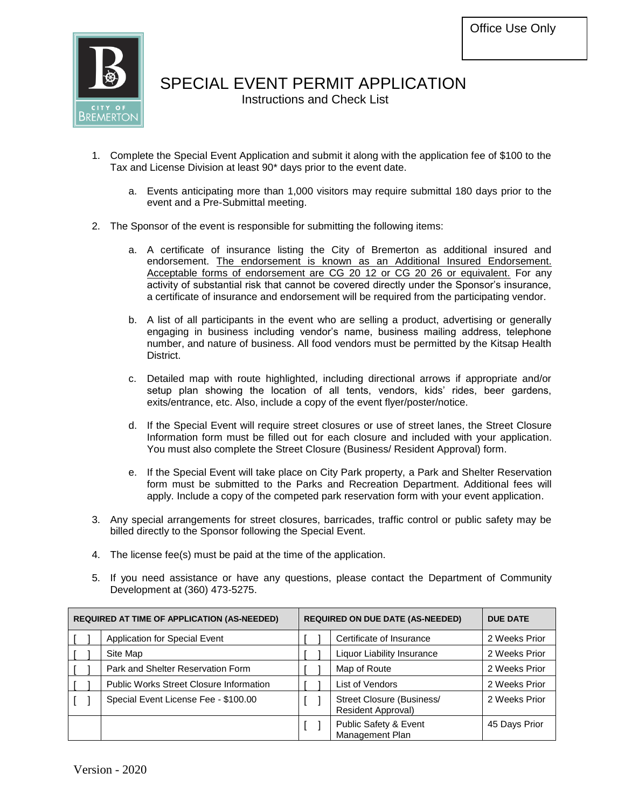

# SPECIAL EVENT PERMIT APPLICATION

Instructions and Check List

- 1. Complete the Special Event Application and submit it along with the application fee of \$100 to the Tax and License Division at least 90\* days prior to the event date.
	- a. Events anticipating more than 1,000 visitors may require submittal 180 days prior to the event and a Pre-Submittal meeting.
- 2. The Sponsor of the event is responsible for submitting the following items:
	- a. A certificate of insurance listing the City of Bremerton as additional insured and endorsement. The endorsement is known as an Additional Insured Endorsement. Acceptable forms of endorsement are CG 20 12 or CG 20 26 or equivalent. For any activity of substantial risk that cannot be covered directly under the Sponsor's insurance, a certificate of insurance and endorsement will be required from the participating vendor.
	- b. A list of all participants in the event who are selling a product, advertising or generally engaging in business including vendor's name, business mailing address, telephone number, and nature of business. All food vendors must be permitted by the Kitsap Health District.
	- c. Detailed map with route highlighted, including directional arrows if appropriate and/or setup plan showing the location of all tents, vendors, kids' rides, beer gardens, exits/entrance, etc. Also, include a copy of the event flyer/poster/notice.
	- d. If the Special Event will require street closures or use of street lanes, the Street Closure Information form must be filled out for each closure and included with your application. You must also complete the Street Closure (Business/ Resident Approval) form.
	- e. If the Special Event will take place on City Park property, a Park and Shelter Reservation form must be submitted to the Parks and Recreation Department. Additional fees will apply. Include a copy of the competed park reservation form with your event application.
- 3. Any special arrangements for street closures, barricades, traffic control or public safety may be billed directly to the Sponsor following the Special Event.
- 4. The license fee(s) must be paid at the time of the application.
- 5. If you need assistance or have any questions, please contact the Department of Community Development at (360) 473-5275.

|  | <b>REQUIRED AT TIME OF APPLICATION (AS-NEEDED)</b> |                          | <b>REQUIRED ON DUE DATE (AS-NEEDED)</b>         | <b>DUE DATE</b> |
|--|----------------------------------------------------|--------------------------|-------------------------------------------------|-----------------|
|  | Application for Special Event                      | Certificate of Insurance |                                                 | 2 Weeks Prior   |
|  | Site Map                                           |                          | Liquor Liability Insurance                      | 2 Weeks Prior   |
|  | Park and Shelter Reservation Form                  |                          | Map of Route                                    | 2 Weeks Prior   |
|  | Public Works Street Closure Information            |                          | List of Vendors                                 | 2 Weeks Prior   |
|  | Special Event License Fee - \$100.00               |                          | Street Closure (Business/<br>Resident Approval) | 2 Weeks Prior   |
|  |                                                    |                          | Public Safety & Event<br>Management Plan        | 45 Days Prior   |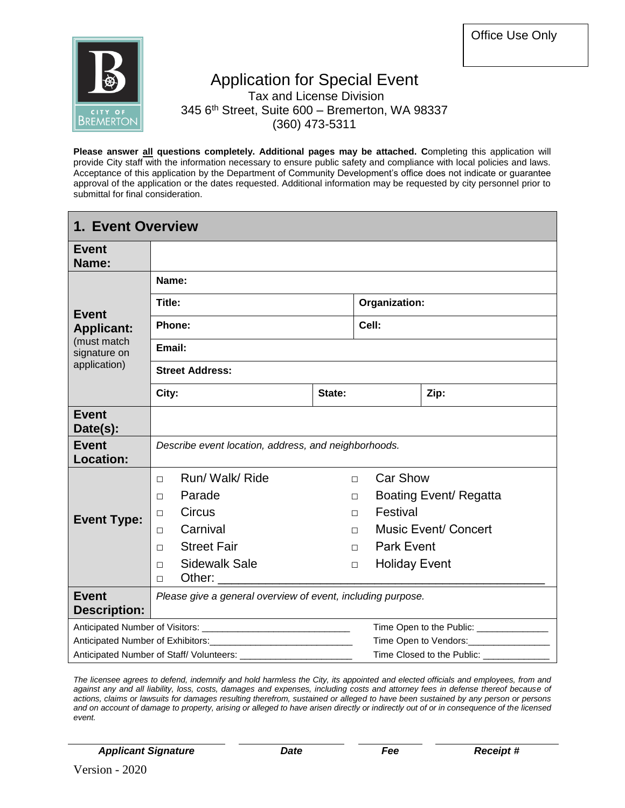

#### Application for Special Event Tax and License Division 345 6<sup>th</sup> Street, Suite 600 - Bremerton, WA 98337 (360) 473-5311

**Please answer all questions completely. Additional pages may be attached. C**ompleting this application will provide City staff with the information necessary to ensure public safety and compliance with local policies and laws. Acceptance of this application by the Department of Community Development's office does not indicate or guarantee approval of the application or the dates requested. Additional information may be requested by city personnel prior to submittal for final consideration.

| <b>1. Event Overview</b>            |                                                                                                                                                                                                                                                                            |        |                      |                                           |  |  |  |  |
|-------------------------------------|----------------------------------------------------------------------------------------------------------------------------------------------------------------------------------------------------------------------------------------------------------------------------|--------|----------------------|-------------------------------------------|--|--|--|--|
| <b>Event</b><br>Name:               |                                                                                                                                                                                                                                                                            |        |                      |                                           |  |  |  |  |
|                                     | Name:                                                                                                                                                                                                                                                                      |        |                      |                                           |  |  |  |  |
|                                     | Title:                                                                                                                                                                                                                                                                     |        | Organization:        |                                           |  |  |  |  |
| <b>Event</b><br><b>Applicant:</b>   | Phone:                                                                                                                                                                                                                                                                     |        | Cell:                |                                           |  |  |  |  |
| (must match<br>signature on         | Email:                                                                                                                                                                                                                                                                     |        |                      |                                           |  |  |  |  |
| application)                        | <b>Street Address:</b>                                                                                                                                                                                                                                                     |        |                      |                                           |  |  |  |  |
|                                     | City:                                                                                                                                                                                                                                                                      | State: |                      | Zip:                                      |  |  |  |  |
| <b>Event</b><br>Date(s):            |                                                                                                                                                                                                                                                                            |        |                      |                                           |  |  |  |  |
| <b>Event</b><br><b>Location:</b>    | Describe event location, address, and neighborhoods.                                                                                                                                                                                                                       |        |                      |                                           |  |  |  |  |
|                                     | Run/ Walk/ Ride<br>$\Box$                                                                                                                                                                                                                                                  | $\Box$ | Car Show             |                                           |  |  |  |  |
|                                     | Parade<br>$\Box$                                                                                                                                                                                                                                                           | □      |                      | Boating Event/ Regatta                    |  |  |  |  |
| <b>Event Type:</b>                  | <b>Circus</b><br>$\Box$                                                                                                                                                                                                                                                    | П.     | Festival             |                                           |  |  |  |  |
|                                     | Carnival<br>П                                                                                                                                                                                                                                                              | П.     |                      | <b>Music Event/ Concert</b>               |  |  |  |  |
|                                     | <b>Street Fair</b><br>$\Box$                                                                                                                                                                                                                                               | П.     | <b>Park Event</b>    |                                           |  |  |  |  |
|                                     | <b>Sidewalk Sale</b><br>$\Box$<br>Other: and the state of the state of the state of the state of the state of the state of the state of the state of the state of the state of the state of the state of the state of the state of the state of the state of the<br>$\Box$ | $\Box$ | <b>Holiday Event</b> |                                           |  |  |  |  |
| <b>Event</b><br><b>Description:</b> | Please give a general overview of event, including purpose.                                                                                                                                                                                                                |        |                      |                                           |  |  |  |  |
|                                     |                                                                                                                                                                                                                                                                            |        |                      | Time Open to the Public: ________________ |  |  |  |  |
|                                     |                                                                                                                                                                                                                                                                            |        |                      | Time Open to Vendors:_________________    |  |  |  |  |
|                                     |                                                                                                                                                                                                                                                                            |        |                      | Time Closed to the Public:                |  |  |  |  |

*The licensee agrees to defend, indemnify and hold harmless the City, its appointed and elected officials and employees, from and against any and all liability, loss, costs, damages and expenses, including costs and attorney fees in defense thereof because of actions, claims or lawsuits for damages resulting therefrom, sustained or alleged to have been sustained by any person or persons and on account of damage to property, arising or alleged to have arisen directly or indirectly out of or in consequence of the licensed event.*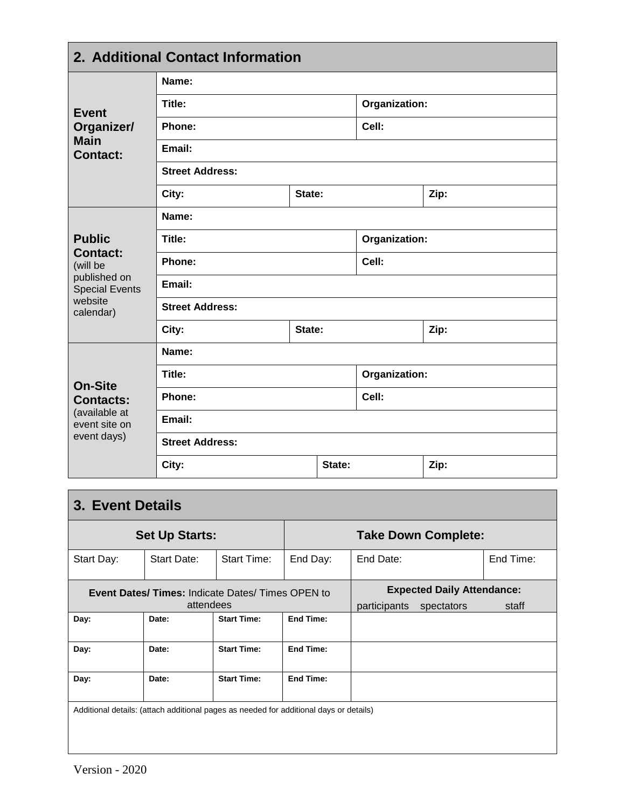| 2. Additional Contact Information     |                        |        |               |               |      |  |  |
|---------------------------------------|------------------------|--------|---------------|---------------|------|--|--|
|                                       | Name:                  |        |               |               |      |  |  |
| <b>Event</b>                          | Title:                 |        |               | Organization: |      |  |  |
| Organizer/                            | Phone:                 |        |               | Cell:         |      |  |  |
| <b>Main</b><br><b>Contact:</b>        | Email:                 |        |               |               |      |  |  |
|                                       | <b>Street Address:</b> |        |               |               |      |  |  |
|                                       | City:                  | State: |               |               | Zip: |  |  |
|                                       | Name:                  |        |               |               |      |  |  |
| <b>Public</b>                         | Title:                 |        | Organization: |               |      |  |  |
| <b>Contact:</b><br>(will be           | Phone:                 |        | Cell:         |               |      |  |  |
| published on<br><b>Special Events</b> | Email:                 |        |               |               |      |  |  |
| website<br>calendar)                  | <b>Street Address:</b> |        |               |               |      |  |  |
|                                       | City:                  | State: |               |               | Zip: |  |  |
|                                       | Name:                  |        |               |               |      |  |  |
| <b>On-Site</b>                        | Title:                 |        |               | Organization: |      |  |  |
| <b>Contacts:</b>                      | Phone:                 |        |               | Cell:         |      |  |  |
| (available at<br>event site on        | Email:                 |        |               |               |      |  |  |
| event days)                           | <b>Street Address:</b> |        |               |               |      |  |  |
|                                       | City:                  |        | State:        |               | Zip: |  |  |

| <b>3. Event Details</b>                                                                |                                                        |                    |           |                            |                                   |           |  |  |  |  |
|----------------------------------------------------------------------------------------|--------------------------------------------------------|--------------------|-----------|----------------------------|-----------------------------------|-----------|--|--|--|--|
|                                                                                        | <b>Set Up Starts:</b>                                  |                    |           | <b>Take Down Complete:</b> |                                   |           |  |  |  |  |
| Start Day:                                                                             | Start Date:                                            | Start Time:        | End Day:  | End Date:                  |                                   | End Time: |  |  |  |  |
|                                                                                        | <b>Event Dates/Times: Indicate Dates/Times OPEN to</b> |                    |           |                            | <b>Expected Daily Attendance:</b> |           |  |  |  |  |
|                                                                                        | attendees                                              |                    |           | participants               | spectators                        | staff     |  |  |  |  |
| Day:                                                                                   | Date:                                                  | <b>Start Time:</b> | End Time: |                            |                                   |           |  |  |  |  |
| Day:                                                                                   | Date:                                                  | <b>Start Time:</b> | End Time: |                            |                                   |           |  |  |  |  |
| Day:                                                                                   | Date:                                                  | <b>Start Time:</b> | End Time: |                            |                                   |           |  |  |  |  |
| Additional details: (attach additional pages as needed for additional days or details) |                                                        |                    |           |                            |                                   |           |  |  |  |  |
|                                                                                        |                                                        |                    |           |                            |                                   |           |  |  |  |  |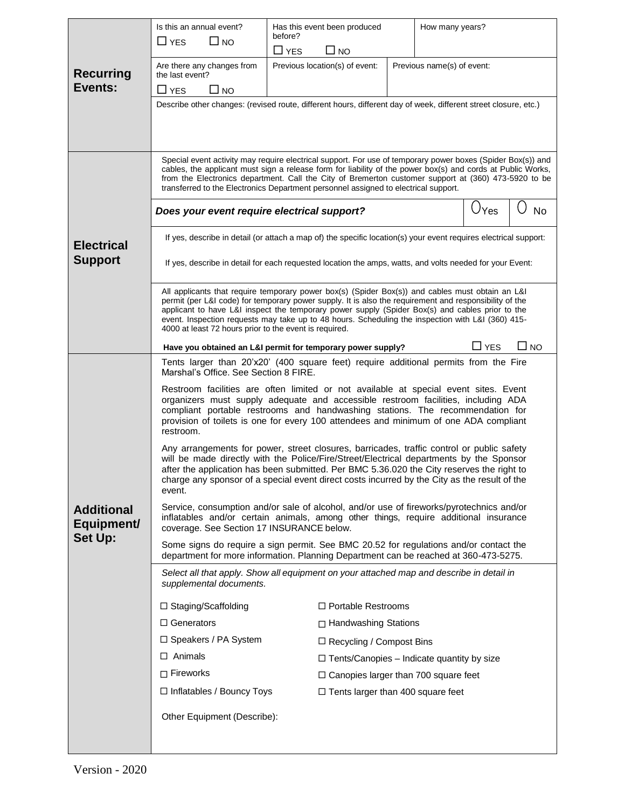|                                 | Is this an annual event?                                                                                                                                                                                                                                                                                                                                                                                                                                                     | Has this event been produced                                                                                                                                                                                                                                                                                                                                                                                              | How many years?                                   |               |           |  |  |  |  |  |
|---------------------------------|------------------------------------------------------------------------------------------------------------------------------------------------------------------------------------------------------------------------------------------------------------------------------------------------------------------------------------------------------------------------------------------------------------------------------------------------------------------------------|---------------------------------------------------------------------------------------------------------------------------------------------------------------------------------------------------------------------------------------------------------------------------------------------------------------------------------------------------------------------------------------------------------------------------|---------------------------------------------------|---------------|-----------|--|--|--|--|--|
|                                 | $\Box$ YES<br>$\Box$ NO                                                                                                                                                                                                                                                                                                                                                                                                                                                      | before?                                                                                                                                                                                                                                                                                                                                                                                                                   |                                                   |               |           |  |  |  |  |  |
|                                 |                                                                                                                                                                                                                                                                                                                                                                                                                                                                              | $\Box$ YES<br>NO L                                                                                                                                                                                                                                                                                                                                                                                                        |                                                   |               |           |  |  |  |  |  |
| <b>Recurring</b>                | Are there any changes from<br>the last event?                                                                                                                                                                                                                                                                                                                                                                                                                                | Previous location(s) of event:                                                                                                                                                                                                                                                                                                                                                                                            | Previous name(s) of event:                        |               |           |  |  |  |  |  |
| Events:                         | $\Box$ YES<br>$\square$ NO                                                                                                                                                                                                                                                                                                                                                                                                                                                   |                                                                                                                                                                                                                                                                                                                                                                                                                           |                                                   |               |           |  |  |  |  |  |
|                                 |                                                                                                                                                                                                                                                                                                                                                                                                                                                                              | Describe other changes: (revised route, different hours, different day of week, different street closure, etc.)                                                                                                                                                                                                                                                                                                           |                                                   |               |           |  |  |  |  |  |
|                                 |                                                                                                                                                                                                                                                                                                                                                                                                                                                                              |                                                                                                                                                                                                                                                                                                                                                                                                                           |                                                   |               |           |  |  |  |  |  |
|                                 |                                                                                                                                                                                                                                                                                                                                                                                                                                                                              |                                                                                                                                                                                                                                                                                                                                                                                                                           |                                                   |               |           |  |  |  |  |  |
|                                 |                                                                                                                                                                                                                                                                                                                                                                                                                                                                              | Special event activity may require electrical support. For use of temporary power boxes (Spider Box(s)) and<br>cables, the applicant must sign a release form for liability of the power box(s) and cords at Public Works,<br>from the Electronics department. Call the City of Bremerton customer support at (360) 473-5920 to be<br>transferred to the Electronics Department personnel assigned to electrical support. |                                                   |               |           |  |  |  |  |  |
|                                 | Does your event require electrical support?                                                                                                                                                                                                                                                                                                                                                                                                                                  |                                                                                                                                                                                                                                                                                                                                                                                                                           |                                                   | Vyes          | No        |  |  |  |  |  |
| <b>Electrical</b>               |                                                                                                                                                                                                                                                                                                                                                                                                                                                                              | If yes, describe in detail (or attach a map of) the specific location(s) your event requires electrical support:                                                                                                                                                                                                                                                                                                          |                                                   |               |           |  |  |  |  |  |
| <b>Support</b>                  |                                                                                                                                                                                                                                                                                                                                                                                                                                                                              | If yes, describe in detail for each requested location the amps, watts, and volts needed for your Event:                                                                                                                                                                                                                                                                                                                  |                                                   |               |           |  |  |  |  |  |
|                                 | All applicants that require temporary power box(s) (Spider Box(s)) and cables must obtain an L&I<br>permit (per L&I code) for temporary power supply. It is also the requirement and responsibility of the<br>applicant to have L&I inspect the temporary power supply (Spider Box(s) and cables prior to the<br>event. Inspection requests may take up to 48 hours. Scheduling the inspection with L&I (360) 415-<br>4000 at least 72 hours prior to the event is required. |                                                                                                                                                                                                                                                                                                                                                                                                                           |                                                   |               |           |  |  |  |  |  |
|                                 |                                                                                                                                                                                                                                                                                                                                                                                                                                                                              | Have you obtained an L&I permit for temporary power supply?                                                                                                                                                                                                                                                                                                                                                               |                                                   | $\square$ YES | $\Box$ NO |  |  |  |  |  |
|                                 | Tents larger than 20'x20' (400 square feet) require additional permits from the Fire<br>Marshal's Office. See Section 8 FIRE.                                                                                                                                                                                                                                                                                                                                                |                                                                                                                                                                                                                                                                                                                                                                                                                           |                                                   |               |           |  |  |  |  |  |
|                                 | Restroom facilities are often limited or not available at special event sites. Event<br>organizers must supply adequate and accessible restroom facilities, including ADA<br>compliant portable restrooms and handwashing stations. The recommendation for<br>provision of toilets is one for every 100 attendees and minimum of one ADA compliant<br>restroom.                                                                                                              |                                                                                                                                                                                                                                                                                                                                                                                                                           |                                                   |               |           |  |  |  |  |  |
|                                 | Any arrangements for power, street closures, barricades, traffic control or public safety<br>will be made directly with the Police/Fire/Street/Electrical departments by the Sponsor<br>after the application has been submitted. Per BMC 5.36.020 the City reserves the right to<br>charge any sponsor of a special event direct costs incurred by the City as the result of the<br>event.                                                                                  |                                                                                                                                                                                                                                                                                                                                                                                                                           |                                                   |               |           |  |  |  |  |  |
| <b>Additional</b><br>Equipment/ | Service, consumption and/or sale of alcohol, and/or use of fireworks/pyrotechnics and/or<br>inflatables and/or certain animals, among other things, require additional insurance<br>coverage. See Section 17 INSURANCE below.                                                                                                                                                                                                                                                |                                                                                                                                                                                                                                                                                                                                                                                                                           |                                                   |               |           |  |  |  |  |  |
| <b>Set Up:</b>                  |                                                                                                                                                                                                                                                                                                                                                                                                                                                                              | Some signs do require a sign permit. See BMC 20.52 for regulations and/or contact the<br>department for more information. Planning Department can be reached at 360-473-5275.                                                                                                                                                                                                                                             |                                                   |               |           |  |  |  |  |  |
|                                 | supplemental documents.                                                                                                                                                                                                                                                                                                                                                                                                                                                      | Select all that apply. Show all equipment on your attached map and describe in detail in                                                                                                                                                                                                                                                                                                                                  |                                                   |               |           |  |  |  |  |  |
|                                 | $\Box$ Staging/Scaffolding                                                                                                                                                                                                                                                                                                                                                                                                                                                   | $\Box$ Portable Restrooms                                                                                                                                                                                                                                                                                                                                                                                                 |                                                   |               |           |  |  |  |  |  |
|                                 | $\Box$ Generators                                                                                                                                                                                                                                                                                                                                                                                                                                                            | □ Handwashing Stations                                                                                                                                                                                                                                                                                                                                                                                                    |                                                   |               |           |  |  |  |  |  |
|                                 | □ Speakers / PA System                                                                                                                                                                                                                                                                                                                                                                                                                                                       | $\Box$ Recycling / Compost Bins                                                                                                                                                                                                                                                                                                                                                                                           |                                                   |               |           |  |  |  |  |  |
|                                 | $\Box$ Animals                                                                                                                                                                                                                                                                                                                                                                                                                                                               |                                                                                                                                                                                                                                                                                                                                                                                                                           | $\Box$ Tents/Canopies – Indicate quantity by size |               |           |  |  |  |  |  |
|                                 | $\Box$ Fireworks                                                                                                                                                                                                                                                                                                                                                                                                                                                             |                                                                                                                                                                                                                                                                                                                                                                                                                           | $\Box$ Canopies larger than 700 square feet       |               |           |  |  |  |  |  |
|                                 | $\Box$ Inflatables / Bouncy Toys                                                                                                                                                                                                                                                                                                                                                                                                                                             |                                                                                                                                                                                                                                                                                                                                                                                                                           | $\Box$ Tents larger than 400 square feet          |               |           |  |  |  |  |  |
|                                 | Other Equipment (Describe):                                                                                                                                                                                                                                                                                                                                                                                                                                                  |                                                                                                                                                                                                                                                                                                                                                                                                                           |                                                   |               |           |  |  |  |  |  |
|                                 |                                                                                                                                                                                                                                                                                                                                                                                                                                                                              |                                                                                                                                                                                                                                                                                                                                                                                                                           |                                                   |               |           |  |  |  |  |  |
|                                 |                                                                                                                                                                                                                                                                                                                                                                                                                                                                              |                                                                                                                                                                                                                                                                                                                                                                                                                           |                                                   |               |           |  |  |  |  |  |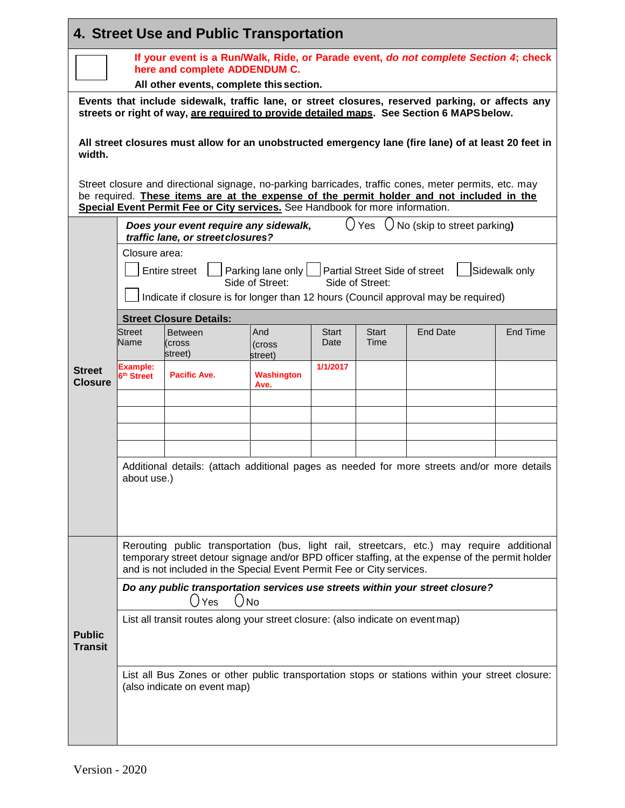| 4. Street Use and Public Transportation |                                                                                                                       |                                                                                 |                    |              |                                      |                                                                                                                                                                                                   |               |  |  |  |
|-----------------------------------------|-----------------------------------------------------------------------------------------------------------------------|---------------------------------------------------------------------------------|--------------------|--------------|--------------------------------------|---------------------------------------------------------------------------------------------------------------------------------------------------------------------------------------------------|---------------|--|--|--|
|                                         | If your event is a Run/Walk, Ride, or Parade event, do not complete Section 4; check<br>here and complete ADDENDUM C. |                                                                                 |                    |              |                                      |                                                                                                                                                                                                   |               |  |  |  |
|                                         | All other events, complete this section.                                                                              |                                                                                 |                    |              |                                      |                                                                                                                                                                                                   |               |  |  |  |
|                                         | Events that include sidewalk, traffic lane, or street closures, reserved parking, or affects any                      |                                                                                 |                    |              |                                      |                                                                                                                                                                                                   |               |  |  |  |
|                                         | streets or right of way, are required to provide detailed maps. See Section 6 MAPS below.                             |                                                                                 |                    |              |                                      |                                                                                                                                                                                                   |               |  |  |  |
| width.                                  | All street closures must allow for an unobstructed emergency lane (fire lane) of at least 20 feet in                  |                                                                                 |                    |              |                                      |                                                                                                                                                                                                   |               |  |  |  |
|                                         |                                                                                                                       | Special Event Permit Fee or City services. See Handbook for more information.   |                    |              |                                      | Street closure and directional signage, no-parking barricades, traffic cones, meter permits, etc. may<br>be required. These items are at the expense of the permit holder and not included in the |               |  |  |  |
|                                         |                                                                                                                       | Does your event require any sidewalk,<br>traffic lane, or street closures?      |                    |              | ( ) Yes                              | No (skip to street parking)                                                                                                                                                                       |               |  |  |  |
|                                         | Closure area:                                                                                                         |                                                                                 |                    |              |                                      |                                                                                                                                                                                                   |               |  |  |  |
|                                         |                                                                                                                       | <b>Entire street</b>                                                            | Parking lane only  |              | <b>Partial Street Side of street</b> |                                                                                                                                                                                                   | Sidewalk only |  |  |  |
|                                         |                                                                                                                       |                                                                                 | Side of Street:    |              | Side of Street:                      |                                                                                                                                                                                                   |               |  |  |  |
|                                         |                                                                                                                       |                                                                                 |                    |              |                                      | Indicate if closure is for longer than 12 hours (Council approval may be required)                                                                                                                |               |  |  |  |
|                                         | Street                                                                                                                | <b>Street Closure Details:</b><br><b>Between</b>                                | And                | <b>Start</b> | Start                                | <b>End Date</b>                                                                                                                                                                                   | End Time      |  |  |  |
|                                         | Name                                                                                                                  | (cross<br>street)                                                               | (cross<br>street)  | Date         | Time                                 |                                                                                                                                                                                                   |               |  |  |  |
| <b>Street</b><br><b>Closure</b>         | Example:<br>6 <sup>th</sup> Street                                                                                    | <b>Pacific Ave.</b>                                                             | Washington<br>Ave. | 1/1/2017     |                                      |                                                                                                                                                                                                   |               |  |  |  |
|                                         |                                                                                                                       |                                                                                 |                    |              |                                      |                                                                                                                                                                                                   |               |  |  |  |
|                                         |                                                                                                                       |                                                                                 |                    |              |                                      |                                                                                                                                                                                                   |               |  |  |  |
|                                         |                                                                                                                       |                                                                                 |                    |              |                                      |                                                                                                                                                                                                   |               |  |  |  |
|                                         |                                                                                                                       |                                                                                 |                    |              |                                      |                                                                                                                                                                                                   |               |  |  |  |
|                                         | about use.)                                                                                                           |                                                                                 |                    |              |                                      | Additional details: (attach additional pages as needed for more streets and/or more details                                                                                                       |               |  |  |  |
|                                         |                                                                                                                       |                                                                                 |                    |              |                                      |                                                                                                                                                                                                   |               |  |  |  |
|                                         |                                                                                                                       |                                                                                 |                    |              |                                      |                                                                                                                                                                                                   |               |  |  |  |
|                                         |                                                                                                                       |                                                                                 |                    |              |                                      |                                                                                                                                                                                                   |               |  |  |  |
|                                         |                                                                                                                       | and is not included in the Special Event Permit Fee or City services.           |                    |              |                                      | Rerouting public transportation (bus, light rail, streetcars, etc.) may require additional<br>temporary street detour signage and/or BPD officer staffing, at the expense of the permit holder    |               |  |  |  |
|                                         |                                                                                                                       |                                                                                 |                    |              |                                      | Do any public transportation services use streets within your street closure?                                                                                                                     |               |  |  |  |
|                                         |                                                                                                                       | $()_{No}$<br>$\Box$<br>Yes                                                      |                    |              |                                      |                                                                                                                                                                                                   |               |  |  |  |
| <b>Public</b>                           |                                                                                                                       | List all transit routes along your street closure: (also indicate on event map) |                    |              |                                      |                                                                                                                                                                                                   |               |  |  |  |
| <b>Transit</b>                          |                                                                                                                       |                                                                                 |                    |              |                                      |                                                                                                                                                                                                   |               |  |  |  |
|                                         |                                                                                                                       |                                                                                 |                    |              |                                      | List all Bus Zones or other public transportation stops or stations within your street closure:                                                                                                   |               |  |  |  |
|                                         |                                                                                                                       | (also indicate on event map)                                                    |                    |              |                                      |                                                                                                                                                                                                   |               |  |  |  |
|                                         |                                                                                                                       |                                                                                 |                    |              |                                      |                                                                                                                                                                                                   |               |  |  |  |
|                                         |                                                                                                                       |                                                                                 |                    |              |                                      |                                                                                                                                                                                                   |               |  |  |  |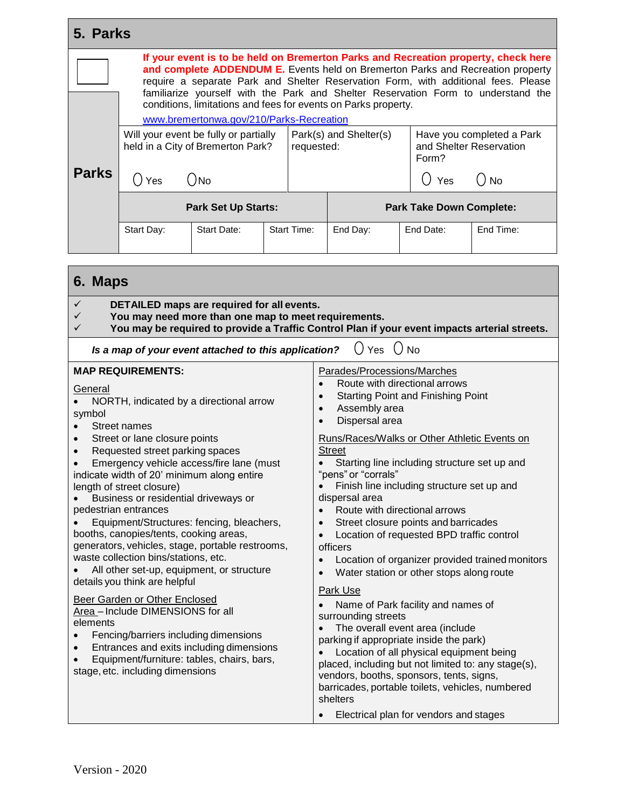| 5. Parks          |                                                                                                                                                                                                                                                                                                                                                  |                                                                                                                                                                                                                                                                                                                         |                                                                |                                                                            |                                                                                                                                                                                                                                                                                                                                                                                                                                                                                                                                    |  |                                  |                                                                                               |  |
|-------------------|--------------------------------------------------------------------------------------------------------------------------------------------------------------------------------------------------------------------------------------------------------------------------------------------------------------------------------------------------|-------------------------------------------------------------------------------------------------------------------------------------------------------------------------------------------------------------------------------------------------------------------------------------------------------------------------|----------------------------------------------------------------|----------------------------------------------------------------------------|------------------------------------------------------------------------------------------------------------------------------------------------------------------------------------------------------------------------------------------------------------------------------------------------------------------------------------------------------------------------------------------------------------------------------------------------------------------------------------------------------------------------------------|--|----------------------------------|-----------------------------------------------------------------------------------------------|--|
|                   | If your event is to be held on Bremerton Parks and Recreation property, check here<br>and complete ADDENDUM E. Events held on Bremerton Parks and Recreation property<br>require a separate Park and Shelter Reservation Form, with additional fees. Please<br>familiarize yourself with the Park and Shelter Reservation Form to understand the |                                                                                                                                                                                                                                                                                                                         |                                                                |                                                                            |                                                                                                                                                                                                                                                                                                                                                                                                                                                                                                                                    |  |                                  |                                                                                               |  |
|                   | www.bremertonwa.gov/210/Parks-Recreation                                                                                                                                                                                                                                                                                                         |                                                                                                                                                                                                                                                                                                                         | conditions, limitations and fees for events on Parks property. |                                                                            |                                                                                                                                                                                                                                                                                                                                                                                                                                                                                                                                    |  |                                  |                                                                                               |  |
|                   |                                                                                                                                                                                                                                                                                                                                                  | Will your event be fully or partially<br>held in a City of Bremerton Park?                                                                                                                                                                                                                                              |                                                                | requested:                                                                 | Park(s) and Shelter(s)                                                                                                                                                                                                                                                                                                                                                                                                                                                                                                             |  | and Shelter Reservation<br>Form? | Have you completed a Park                                                                     |  |
| <b>Parks</b>      | ( ) Yes                                                                                                                                                                                                                                                                                                                                          | ( )No                                                                                                                                                                                                                                                                                                                   |                                                                |                                                                            |                                                                                                                                                                                                                                                                                                                                                                                                                                                                                                                                    |  | ( )<br>Yes                       | $()_{No}$                                                                                     |  |
|                   |                                                                                                                                                                                                                                                                                                                                                  | <b>Park Set Up Starts:</b>                                                                                                                                                                                                                                                                                              |                                                                |                                                                            |                                                                                                                                                                                                                                                                                                                                                                                                                                                                                                                                    |  | <b>Park Take Down Complete:</b>  |                                                                                               |  |
|                   | Start Day:                                                                                                                                                                                                                                                                                                                                       | <b>Start Date:</b>                                                                                                                                                                                                                                                                                                      |                                                                | <b>Start Time:</b>                                                         | End Day:                                                                                                                                                                                                                                                                                                                                                                                                                                                                                                                           |  | End Date:                        | End Time:                                                                                     |  |
|                   |                                                                                                                                                                                                                                                                                                                                                  |                                                                                                                                                                                                                                                                                                                         |                                                                |                                                                            |                                                                                                                                                                                                                                                                                                                                                                                                                                                                                                                                    |  |                                  |                                                                                               |  |
| 6. Maps           |                                                                                                                                                                                                                                                                                                                                                  |                                                                                                                                                                                                                                                                                                                         |                                                                |                                                                            |                                                                                                                                                                                                                                                                                                                                                                                                                                                                                                                                    |  |                                  |                                                                                               |  |
| ✓<br>✓<br>✓       |                                                                                                                                                                                                                                                                                                                                                  | DETAILED maps are required for all events.<br>You may need more than one map to meet requirements.                                                                                                                                                                                                                      |                                                                |                                                                            |                                                                                                                                                                                                                                                                                                                                                                                                                                                                                                                                    |  |                                  | You may be required to provide a Traffic Control Plan if your event impacts arterial streets. |  |
|                   |                                                                                                                                                                                                                                                                                                                                                  | Is a map of your event attached to this application?                                                                                                                                                                                                                                                                    |                                                                |                                                                            | Yes $\bigcup$ No                                                                                                                                                                                                                                                                                                                                                                                                                                                                                                                   |  |                                  |                                                                                               |  |
| General<br>symbol | <b>MAP REQUIREMENTS:</b><br>Street names<br>Street or lane closure points<br>Requested street parking spaces<br>length of street closure)<br>pedestrian entrances<br>booths, canopies/tents, cooking areas,<br>waste collection bins/stations, etc.                                                                                              | NORTH, indicated by a directional arrow<br>Emergency vehicle access/fire lane (must<br>indicate width of 20' minimum along entire<br>Business or residential driveways or<br>Equipment/Structures: fencing, bleachers,<br>generators, vehicles, stage, portable restrooms,<br>All other set-up, equipment, or structure |                                                                | $\bullet$<br>$\bullet$<br>$\bullet$<br>$\bullet$<br>$\bullet$<br>$\bullet$ | Parades/Processions/Marches<br>Route with directional arrows<br><b>Starting Point and Finishing Point</b><br>Assembly area<br>Dispersal area<br>Runs/Races/Walks or Other Athletic Events on<br><b>Street</b><br>Starting line including structure set up and<br>"pens" or "corrals"<br>Finish line including structure set up and<br>dispersal area<br>Route with directional arrows<br>Street closure points and barricades<br>Location of requested BPD traffic control<br>officers<br>Water station or other stops along route |  |                                  | Location of organizer provided trained monitors                                               |  |
|                   | details you think are helpful<br>Dear Carden ar Othar Englanad                                                                                                                                                                                                                                                                                   |                                                                                                                                                                                                                                                                                                                         |                                                                |                                                                            | <b>Park Use</b>                                                                                                                                                                                                                                                                                                                                                                                                                                                                                                                    |  |                                  |                                                                                               |  |

• Name of Park facility and names of

vendors, booths, sponsors, tents, signs,

• Electrical plan for vendors and stages

barricades, portable toilets, vehicles, numbered

• The overall event area (include parking if appropriate inside the park) • Location of all physical equipment being placed, including but not limited to: any stage(s),

surrounding streets

shelters

Beer Garden or Other Enclosed Area – Include DIMENSIONS for all elements

- Fencing/barriers including dimensions
- Entrances and exits including dimensions
- Equipment/furniture: tables, chairs, bars, stage, etc. including dimensions

Version - 2020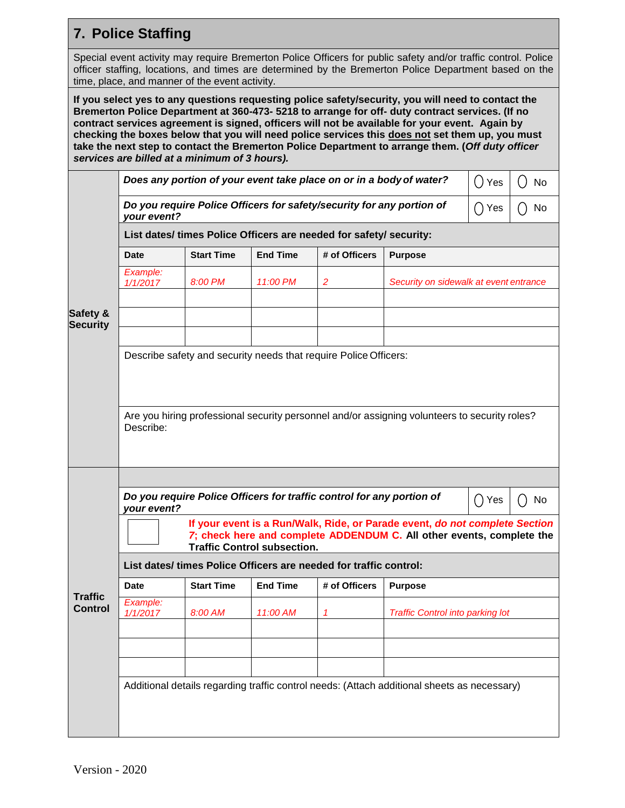## **7. Police Staffing**

Special event activity may require Bremerton Police Officers for public safety and/or traffic control. Police officer staffing, locations, and times are determined by the Bremerton Police Department based on the time, place, and manner of the event activity.

**If you select yes to any questions requesting police safety/security, you will need to contact the Bremerton Police Department at 360-473- 5218 to arrange for off- duty contract services. (If no contract services agreement is signed, officers will not be available for your event. Again by checking the boxes below that you will need police services this does not set them up, you must take the next step to contact the Bremerton Police Department to arrange them. (***Off duty officer services are billed at a minimum of 3 hours).*

|                                  |                                                                                                                                                                                            |                   |                 | Does any portion of your event take place on or in a body of water? |                                                                                               | ()Yes | No |  |  |  |  |  |  |
|----------------------------------|--------------------------------------------------------------------------------------------------------------------------------------------------------------------------------------------|-------------------|-----------------|---------------------------------------------------------------------|-----------------------------------------------------------------------------------------------|-------|----|--|--|--|--|--|--|
|                                  | Do you require Police Officers for safety/security for any portion of<br>()Yes<br>No<br>( )<br>your event?                                                                                 |                   |                 |                                                                     |                                                                                               |       |    |  |  |  |  |  |  |
|                                  | List dates/ times Police Officers are needed for safety/ security:                                                                                                                         |                   |                 |                                                                     |                                                                                               |       |    |  |  |  |  |  |  |
|                                  | Date                                                                                                                                                                                       | <b>Start Time</b> | <b>End Time</b> | # of Officers                                                       | <b>Purpose</b>                                                                                |       |    |  |  |  |  |  |  |
|                                  | Example:<br>1/1/2017                                                                                                                                                                       | 8:00 PM           | 11:00 PM        | $\overline{2}$                                                      | Security on sidewalk at event entrance                                                        |       |    |  |  |  |  |  |  |
| Safety &<br><b>Security</b>      |                                                                                                                                                                                            |                   |                 |                                                                     |                                                                                               |       |    |  |  |  |  |  |  |
|                                  |                                                                                                                                                                                            |                   |                 |                                                                     |                                                                                               |       |    |  |  |  |  |  |  |
|                                  | Describe safety and security needs that require Police Officers:                                                                                                                           |                   |                 |                                                                     |                                                                                               |       |    |  |  |  |  |  |  |
|                                  | Describe:                                                                                                                                                                                  |                   |                 |                                                                     | Are you hiring professional security personnel and/or assigning volunteers to security roles? |       |    |  |  |  |  |  |  |
|                                  |                                                                                                                                                                                            |                   |                 |                                                                     |                                                                                               |       |    |  |  |  |  |  |  |
|                                  | Do you require Police Officers for traffic control for any portion of<br>∩ Yes<br>No<br>your event?                                                                                        |                   |                 |                                                                     |                                                                                               |       |    |  |  |  |  |  |  |
|                                  | If your event is a Run/Walk, Ride, or Parade event, do not complete Section<br>7; check here and complete ADDENDUM C. All other events, complete the<br><b>Traffic Control subsection.</b> |                   |                 |                                                                     |                                                                                               |       |    |  |  |  |  |  |  |
|                                  |                                                                                                                                                                                            |                   |                 | List dates/ times Police Officers are needed for traffic control:   |                                                                                               |       |    |  |  |  |  |  |  |
|                                  | Date                                                                                                                                                                                       | <b>Start Time</b> | <b>End Time</b> | # of Officers                                                       | <b>Purpose</b>                                                                                |       |    |  |  |  |  |  |  |
| <b>Traffic</b><br><b>Control</b> | Example:<br>1/1/2017                                                                                                                                                                       | 8:00 AM           | 11:00 AM        |                                                                     | <b>Traffic Control into parking lot</b>                                                       |       |    |  |  |  |  |  |  |
|                                  |                                                                                                                                                                                            |                   |                 |                                                                     |                                                                                               |       |    |  |  |  |  |  |  |
|                                  |                                                                                                                                                                                            |                   |                 |                                                                     |                                                                                               |       |    |  |  |  |  |  |  |
|                                  |                                                                                                                                                                                            |                   |                 |                                                                     | Additional details regarding traffic control needs: (Attach additional sheets as necessary)   |       |    |  |  |  |  |  |  |
|                                  |                                                                                                                                                                                            |                   |                 |                                                                     |                                                                                               |       |    |  |  |  |  |  |  |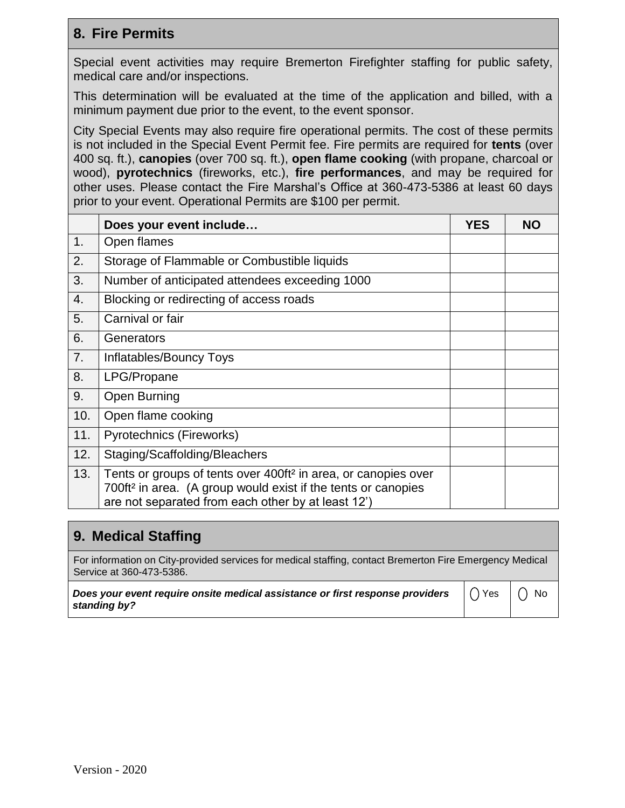## **8. Fire Permits**

Special event activities may require Bremerton Firefighter staffing for public safety, medical care and/or inspections.

This determination will be evaluated at the time of the application and billed, with a minimum payment due prior to the event, to the event sponsor.

City Special Events may also require fire operational permits. The cost of these permits is not included in the Special Event Permit fee. Fire permits are required for **tents** (over 400 sq. ft.), **canopies** (over 700 sq. ft.), **open flame cooking** (with propane, charcoal or wood), **pyrotechnics** (fireworks, etc.), **fire performances**, and may be required for other uses. Please contact the Fire Marshal's Office at 360-473-5386 at least 60 days prior to your event. Operational Permits are \$100 per permit.

|     | Does your event include                                                                                                                                                                                       | <b>YES</b> | <b>NO</b> |
|-----|---------------------------------------------------------------------------------------------------------------------------------------------------------------------------------------------------------------|------------|-----------|
| 1.  | Open flames                                                                                                                                                                                                   |            |           |
| 2.  | Storage of Flammable or Combustible liquids                                                                                                                                                                   |            |           |
| 3.  | Number of anticipated attendees exceeding 1000                                                                                                                                                                |            |           |
| 4.  | Blocking or redirecting of access roads                                                                                                                                                                       |            |           |
| 5.  | Carnival or fair                                                                                                                                                                                              |            |           |
| 6.  | Generators                                                                                                                                                                                                    |            |           |
| 7.  | Inflatables/Bouncy Toys                                                                                                                                                                                       |            |           |
| 8.  | LPG/Propane                                                                                                                                                                                                   |            |           |
| 9.  | Open Burning                                                                                                                                                                                                  |            |           |
| 10. | Open flame cooking                                                                                                                                                                                            |            |           |
| 11. | Pyrotechnics (Fireworks)                                                                                                                                                                                      |            |           |
| 12. | Staging/Scaffolding/Bleachers                                                                                                                                                                                 |            |           |
| 13. | Tents or groups of tents over 400ft <sup>2</sup> in area, or canopies over<br>700ft <sup>2</sup> in area. (A group would exist if the tents or canopies<br>are not separated from each other by at least 12') |            |           |

#### **9. Medical Staffing** For information on City-provided services for medical staffing, contact Bremerton Fire Emergency Medical Service at 360-473-5386. *Does your event require onsite medical assistance or first response providers standing by?*  $() Yes | () No$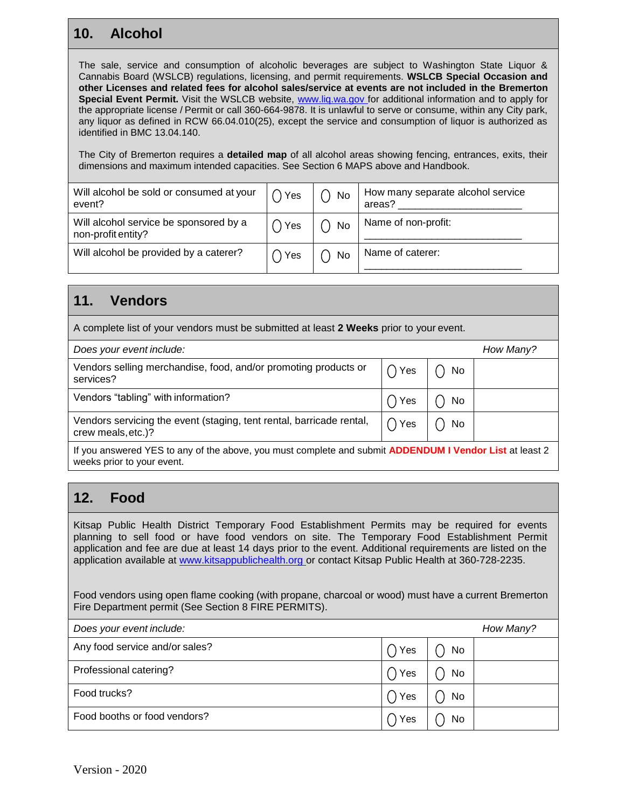## **10. Alcohol**

The sale, service and consumption of alcoholic beverages are subject to Washington State Liquor & Cannabis Board (WSLCB) regulations, licensing, and permit requirements. **WSLCB Special Occasion and other Licenses and related fees for alcohol sales/service at events are not included in the Bremerton Special Event Permit.** Visit the WSLCB website, [www.liq.wa.gov f](http://www.liq.wa.gov/)or additional information and to apply for the appropriate license / Permit or call 360-664-9878. It is unlawful to serve or consume, within any City park, any liquor as defined in RCW 66.04.010(25), except the service and consumption of liquor is authorized as identified in BMC 13.04.140.

The City of Bremerton requires a **detailed map** of all alcohol areas showing fencing, entrances, exits, their dimensions and maximum intended capacities. See Section 6 MAPS above and Handbook.

| Will alcohol be sold or consumed at your<br>event?           | $\bigcap$ Yes | No | How many separate alcohol service<br>areas? |
|--------------------------------------------------------------|---------------|----|---------------------------------------------|
| Will alcohol service be sponsored by a<br>non-profit entity? | Yes \         | No | Name of non-profit:                         |
| Will alcohol be provided by a caterer?                       | ) Yes         | No | Name of caterer:                            |

#### **11. Vendors**

A complete list of your vendors must be submitted at least **2 Weeks** prior to your event.

| Does your event include:                                                                                                 |               |     | How Many? |  |  |  |  |
|--------------------------------------------------------------------------------------------------------------------------|---------------|-----|-----------|--|--|--|--|
| Vendors selling merchandise, food, and/or promoting products or<br>services?                                             | $\bigcap$ Yes | No. |           |  |  |  |  |
| Vendors "tabling" with information?                                                                                      | Yes           | No  |           |  |  |  |  |
| Vendors servicing the event (staging, tent rental, barricade rental,<br>crew meals, etc.)?                               | $\bigcap$ Yes | No  |           |  |  |  |  |
| Holder and compared MEO to accelerate the collection of constant and actual to <b>APDEMENTMENT</b> Made Hard Hard Hard O |               |     |           |  |  |  |  |

If you answered YES to any of the above, you must complete and submit **ADDENDUM I Vendor List** at least 2 weeks prior to your event.

## **12. Food**

Kitsap Public Health District Temporary Food Establishment Permits may be required for events planning to sell food or have food vendors on site. The Temporary Food Establishment Permit application and fee are due at least 14 days prior to the event. Additional requirements are listed on the application available at [www.kitsappublichealth.org o](http://www.kitsappublichealth.org/)r contact Kitsap Public Health at 360-728-2235.

Food vendors using open flame cooking (with propane, charcoal or wood) must have a current Bremerton Fire Department permit (See Section 8 FIRE PERMITS).

| Does your event include:       |     |    | How Many? |
|--------------------------------|-----|----|-----------|
| Any food service and/or sales? | Yes | No |           |
| Professional catering?         | Yes | No |           |
| Food trucks?                   | Yes | No |           |
| Food booths or food vendors?   | Yes | No |           |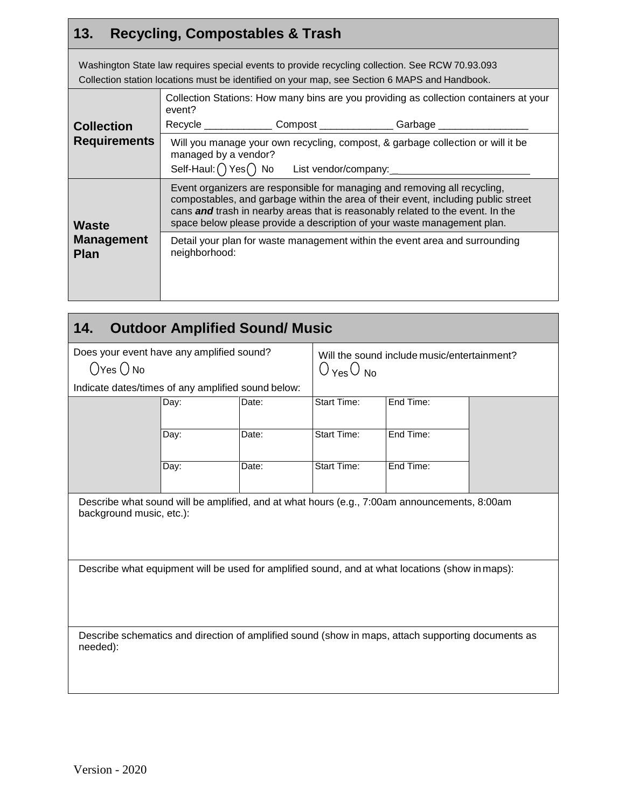## **13. Recycling, Compostables & Trash**

Washington State law requires special events to provide recycling collection. See RCW 70.93.093 Collection station locations must be identified on your map, see Section 6 MAPS and Handbook.

|                                           | Collection Stations: How many bins are you providing as collection containers at your<br>event?                                                                                                                                                                                                                             |                                                               |                                                                             |  |
|-------------------------------------------|-----------------------------------------------------------------------------------------------------------------------------------------------------------------------------------------------------------------------------------------------------------------------------------------------------------------------------|---------------------------------------------------------------|-----------------------------------------------------------------------------|--|
| <b>Collection</b>                         |                                                                                                                                                                                                                                                                                                                             | Recycle _______________Compost _______________Garbage _______ |                                                                             |  |
| <b>Requirements</b>                       | Will you manage your own recycling, compost, & garbage collection or will it be<br>managed by a vendor?<br>Self-Haul: $\bigcap$ Yes $\bigcap$ No List vendor/company:                                                                                                                                                       |                                                               |                                                                             |  |
| Waste<br><b>Management</b><br><b>Plan</b> | Event organizers are responsible for managing and removing all recycling,<br>compostables, and garbage within the area of their event, including public street<br>cans and trash in nearby areas that is reasonably related to the event. In the<br>space below please provide a description of your waste management plan. |                                                               |                                                                             |  |
|                                           | neighborhood:                                                                                                                                                                                                                                                                                                               |                                                               | Detail your plan for waste management within the event area and surrounding |  |

| <b>Outdoor Amplified Sound/ Music</b><br>14.                                                                             |      |                                                                              |                    |           |  |
|--------------------------------------------------------------------------------------------------------------------------|------|------------------------------------------------------------------------------|--------------------|-----------|--|
| Does your event have any amplified sound?<br>$\bigcirc$ Yes $\bigcirc$ No                                                |      | Will the sound include music/entertainment?<br>$O_{\text{Yes}}O_{\text{No}}$ |                    |           |  |
| Indicate dates/times of any amplified sound below:                                                                       |      |                                                                              |                    |           |  |
|                                                                                                                          | Day: | Date:                                                                        | Start Time:        | End Time: |  |
|                                                                                                                          |      |                                                                              |                    |           |  |
|                                                                                                                          | Day: | Date:                                                                        | <b>Start Time:</b> | End Time: |  |
|                                                                                                                          | Day: | Date:                                                                        | Start Time:        | End Time: |  |
| Describe what sound will be amplified, and at what hours (e.g., 7:00am announcements, 8:00am<br>background music, etc.): |      |                                                                              |                    |           |  |
| Describe what equipment will be used for amplified sound, and at what locations (show in maps):                          |      |                                                                              |                    |           |  |
| Describe schematics and direction of amplified sound (show in maps, attach supporting documents as<br>needed):           |      |                                                                              |                    |           |  |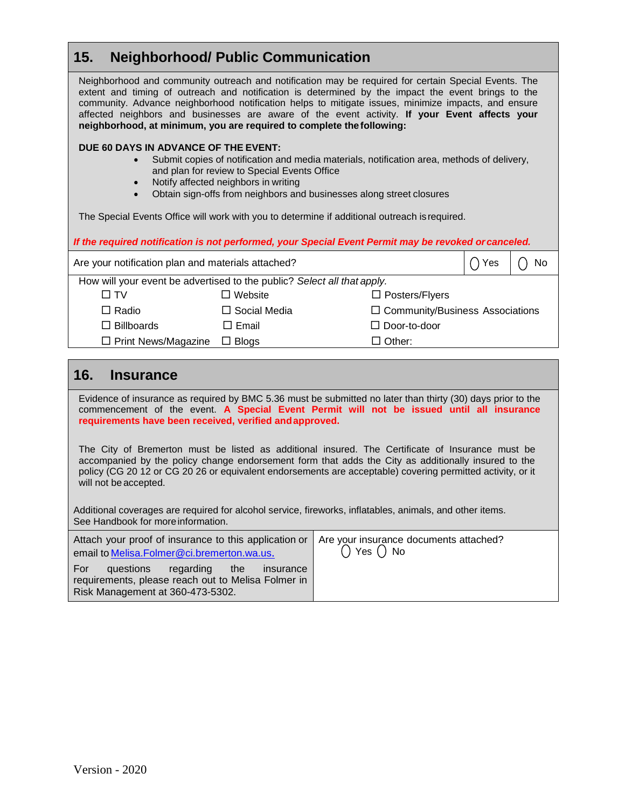#### **15. Neighborhood/ Public Communication**

Neighborhood and community outreach and notification may be required for certain Special Events. The extent and timing of outreach and notification is determined by the impact the event brings to the community. Advance neighborhood notification helps to mitigate issues, minimize impacts, and ensure affected neighbors and businesses are aware of the event activity. **If your Event affects your neighborhood, at minimum, you are required to complete the following:**

#### **DUE 60 DAYS IN ADVANCE OF THE EVENT:**

- Submit copies of notification and media materials, notification area, methods of delivery, and plan for review to Special Events Office
- Notify affected neighbors in writing
- Obtain sign-offs from neighbors and businesses along street closures

The Special Events Office will work with you to determine if additional outreach isrequired.

| If the required notification is not performed, your Special Event Permit may be revoked or canceled. |                     |                                        |     |    |
|------------------------------------------------------------------------------------------------------|---------------------|----------------------------------------|-----|----|
| Are your notification plan and materials attached?                                                   |                     |                                        | Yes | No |
| How will your event be advertised to the public? Select all that apply.                              |                     |                                        |     |    |
| N TV                                                                                                 | $\Box$ Website      | $\Box$ Posters/Flyers                  |     |    |
| $\Box$ Radio                                                                                         | $\Box$ Social Media | $\Box$ Community/Business Associations |     |    |
| $\Box$ Billboards                                                                                    | $\Box$ Email        | $\Box$ Door-to-door                    |     |    |
| $\Box$ Print News/Magazine                                                                           | $\Box$ Blogs        | $\square$ Other:                       |     |    |

#### **16. Insurance**

Evidence of insurance as required by BMC 5.36 must be submitted no later than thirty (30) days prior to the commencement of the event. **A Special Event Permit will not be issued until all insurance requirements have been received, verified andapproved.**

The City of Bremerton must be listed as additional insured. The Certificate of Insurance must be accompanied by the policy change endorsement form that adds the City as additionally insured to the policy (CG 20 12 or CG 20 26 or equivalent endorsements are acceptable) covering permitted activity, or it will not be accepted.

Additional coverages are required for alcohol service, fireworks, inflatables, animals, and other items. See Handbook for more information.

| Attach your proof of insurance to this application or   Are your insurance documents attached?<br>email to Melisa. Folmer@ci.bremerton.wa.us. | $\bigcap$ Yes $\bigcap$ No |
|-----------------------------------------------------------------------------------------------------------------------------------------------|----------------------------|
| regarding the<br>questions<br>For<br>insurance<br>requirements, please reach out to Melisa Folmer in<br>Risk Management at 360-473-5302.      |                            |